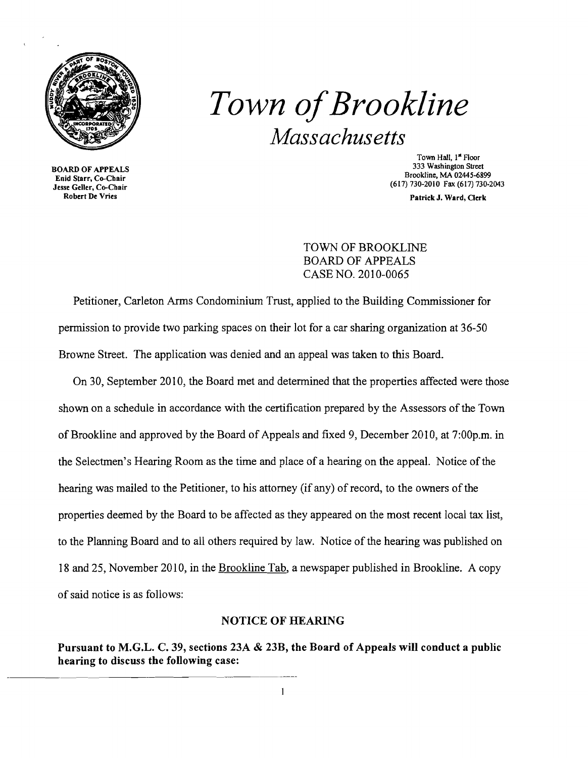

# *Town ofBrookline Massachusetts*

BOARD OF APPEALS Enid Starr, Co-Chair Jesse Geller, Co-Chair Robert De Vries

Town Hall, 1<sup>st</sup> Floor 333 Washington Street Brookline, MA 02445-6899 (617) 730-2010 Fax (617) 730-2043

Patrick J. Ward, Clerk

TOWN OF BROOKLINE BOARD OF APPEALS CASE NO. 2010-0065

Petitioner, Carleton Arms Condominium Trust, applied to the Building Commissioner for permission to provide two parking spaces on their lot for a car sharing organization at 36-50 Browne Street. The application was denied and an appeal was taken to this Board.

On 30, September 2010, the Board met and determined that the properties affected were those shown on a schedule in accordance with the certification prepared by the Assessors of the Town of Brookline and approved by the Board of Appeals and fixed 9, December 2010, at 7:00p.m. in the Selectmen's Hearing Room as the time and place of a hearing on the appeal. Notice of the hearing was mailed to the Petitioner, to his attorney (if any) of record, to the owners of the properties deemed by the Board to be affected as they appeared on the most recent local tax list, to the Planning Board and to all others required by law. Notice of the hearing was published on 18 and 25, November 20 I0, in the Brookline Tab, a newspaper published in Brookline. A copy of said notice is as follows:

### NOTICE OF HEARING

Pursuant to M.G.L. C. 39, sections 23A & 23B, the Board of Appeals will conduct a public hearing to discuss the following case: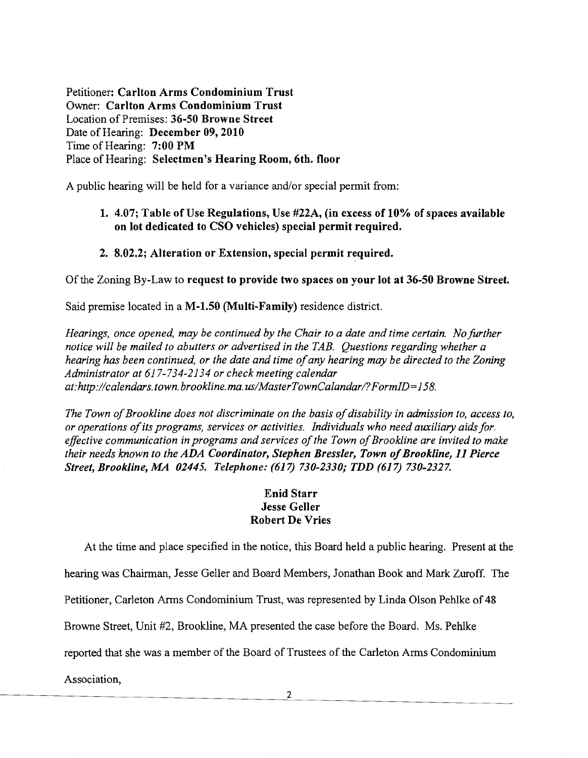Petitioner: Carlton Arms Condominium Trust Owner: Carlton Arms Condominium Trust Location of Premises: 36-50 Browne Street Date of Hearing: December 09, 2010 Time of Hearing: 7:00 PM Place of Hearing: Selectmen's Hearing Room, 6th. floor

A public hearing will be held for a variance and/or special permit from:

## 1.  $4.07$ ; Table of Use Regulations, Use  $\#22A$ , (in excess of 10% of spaces available on lot dedicated to CSO vehicles) special permit required.

2. 8.02.2; Alteration or Extension, special permit required.

Of the Zoning By-Law to request to provide two spaces on your lot at 36-50 Browne Street.

Said premise located in a M-1.50 (Multi-Family) residence district.

*Hearings, once opened, may be continued by the Chair to a date and time certain. No further notice will be mailed to abutters or advertised in the TAB. Questions regarding whether a hearing has been continued, or the date and time ofany hearing may be directed to the Zoning Administrator at* 617-734-2134 *or check meeting calendar at:http://calendars. town. brookline.ma. uslMasterTownCalandarl?FormID=*158.

The Town of Brookline does not discriminate on the basis of disability in admission to, access to, *or operations ofits programs, services or activities. Individuals who need auxiliary aids for.*  effective communication in programs and services of the Town of Brookline are invited to make *their needs known to the ADA Coordinator, Stephen Bressler, Town of Brookline, 11 Pierce Street, Brookline, MA 02445. Telephone:* (61 *730-2330; TDD* (617) *730-2327.* 

## Enid Starr Jesse Geller Robert De Vries

At the time and place specified in the notice, this Board held a public hearing. Present at the

hearing was Chairman, Jesse Geller and Board Members, Jonathan Book and Mark Zuroff. The

Petitioner, Carleton Arms Condominium Trust, was represented by Linda Olson Pehlke of 48

Browne Street, Unit #2, Brookline, MA presented the case before the Board. Ms. Pehlke

reported that she was a member of the Board of Trustees of the Carleton Arms Condominium

Association,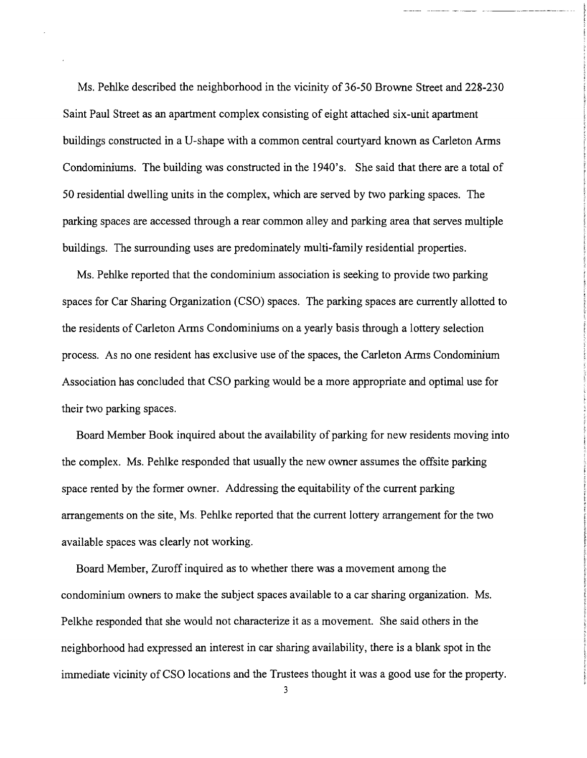Ms. Pehlke described the neighborhood in the vicinity of 36-50 Browne Street and 228-230 Saint Paul Street as an apartment complex consisting of eight attached six-unit apartment buildings constructed in a V-shape with a common central courtyard known as Carleton Arms Condominiums. The building was constructed in the 1940's. She said that there are a total of 50 residential dwelling units in the complex, which are served by two parking spaces. The parking spaces are accessed through a rear common alley and parking area that serves multiple buildings. The surrounding uses are predominately multi-family residential properties.

Ms. Pehlke reported that the condominium association is seeking to provide two parking spaces for Car Sharing Organization (CSO) spaces. The parking spaces are currently allotted to the residents of Carleton Arms Condominiums on a yearly basis through a lottery selection process. As no one resident has exclusive use of the spaces, the Carleton Arms Condominium Association has concluded that CSO parking would be a more appropriate and optimal use for their two parking spaces.

Board Member Book inquired about the availability of parking for new residents moving into the complex. Ms. Pehlke responded that usually the new owner assumes the offsite parking space rented by the former owner. Addressing the equitability of the current parking arrangements on the site, Ms. Pehlke reported that the current lottery arrangement for the two available spaces was clearly not working.

Board Member, Zuroff inquired as to whether there was a movement among the condominium owners to make the subject spaces available to a car sharing organization. Ms. Pelkhe responded that she would not characterize it as a movement. She said others in the neighborhood had expressed an interest in car sharing availability, there is a blank spot in the immediate vicinity of CSO locations and the Trustees thought it was a good use for the property.

3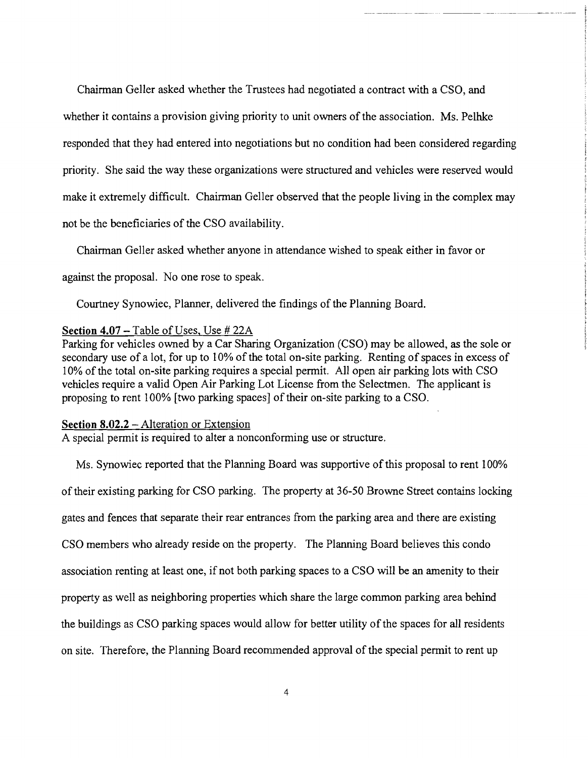Chairman Geller asked whether the Trustees had negotiated a contract with a CSO, and whether it contains a provision giving priority to unit owners of the association. Ms. Pelhke responded that they had entered into negotiations but no condition had been considered regarding priority. She said the way these organizations were structured and vehicles were reserved would make it extremely difficult. Chairman Geller observed that the people living in the complex may not be the beneficiaries of the CSO availability.

~--- -~--- -

Chairman Geller asked whether anyone in attendance wished to speak either in favor or

against the proposal. No one rose to speak.

Courtney Synowiec, Planner, delivered the findings of the Planning Board.

#### **Section 4.07** - Table of Uses, Use # 22A

Parking for vehicles owned by a Car Sharing Organization (CSO) may be allowed, as the sole or secondary use of a lot, for up to 10% of the total on-site parking. Renting of spaces in excess of 10% of the total on-site parking requires a special permit. All open air parking lots with CSO vehicles require a valid Open Air Parking Lot License from the Selectmen. The applicant is proposing to rent 100% [two parking spaces] of their on-site parking to a CSO.

#### **Section 8.02.2** - Alteration or Extension

A special permit is required to alter a nonconforming use or structure.

Ms. Synowiec reported that the Planning Board was supportive of this proposal to rent 100% of their existing parking for CSO parking. The property at 36-50 Browne Street contains locking gates and fences that separate their rear entrances from the parking area and there are existing CSO members who already reside on the property. The Planning Board believes this condo association renting at least one, if not both parking spaces to a CSO will be an amenity to their property as well as neighboring properties which share the large common parking area behind the buildings as CSO parking spaces would allow for better utility of the spaces for all residents on site. Therefore, the Planning Board recommended approval ofthe special permit to rent up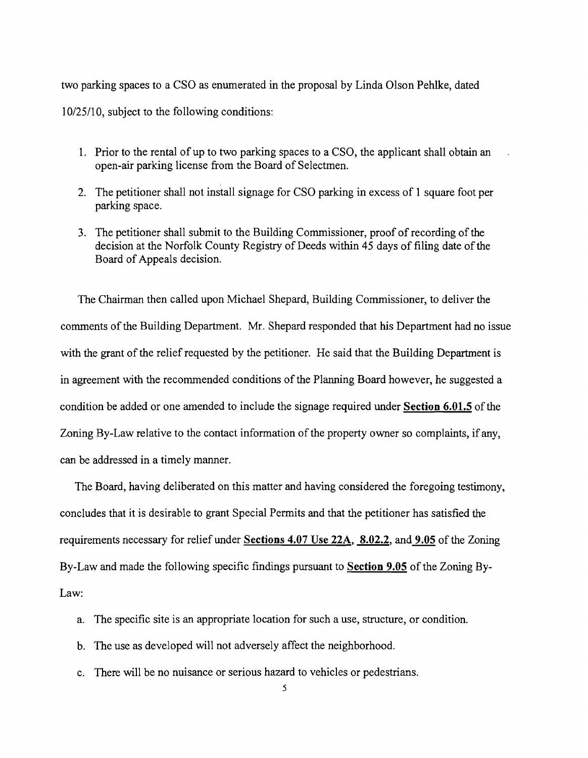two parking spaces to a CSO as enumerated in the proposal by Linda Olson Pehlke, dated 10/25/10, subject to the following conditions:

- 1. Prior to the rental of up to two parking spaces to a CSO, the applicant shall obtain an open-air parking license from the Board of Selectmen.
- 2. The petitioner shall not install signage for CSO parking in excess of 1 square foot per parking space.
- 3. The petitioner shall submit to the Building Commissioner, proof of recording of the decision at the Norfolk County Registry of Deeds within 45 days of filing date of the Board of Appeals decision.

The Chairman then called upon Michael Shepard, Building Commissioner, to deliver the comments of the Building Department. Mr. Shepard responded that his Department had no issue with the grant of the relief requested by the petitioner. He said that the Building Department is in agreement with the recommended conditions of the Planning Board however, he suggested a condition be added or one amended to include the signage required under Section  $6.01.5$  of the Zoning By-Law relative to the contact information of the property owner so complaints, if any, can be addressed in a timely manner.

The Board, having deliberated on this matter and having considered the foregoing testimony, concludes that it is desirable to grant Special Permits and that the petitioner has satisfied the requirements necessary for relief under Sections 4.07 Use 22A, 8.02.2, and 9.05 of the Zoning By-Law and made the following specific findings pursuant to Section 9.05 of the Zoning By-Law:

- a. The specific site is an appropriate location for such a use, structure, or condition.
- b. The use as developed will not adversely affect the neighborhood.
- c. There will be no nuisance or serious hazard to vehicles or pedestrians.